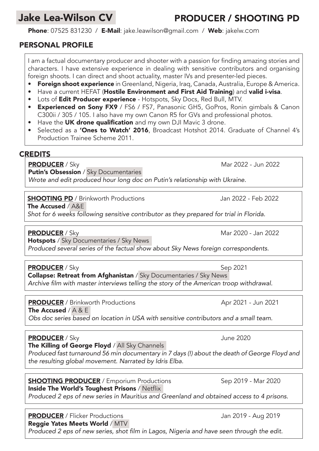# Jake Lea-Wilson CV

#### Phone: 07525 831230 / E-Mail: jake.leawilson@gmail.com / Web: jakelw.com

### PERSONAL PROFILE

I am a factual documentary producer and shooter with a passion for finding amazing stories and characters. I have extensive experience in dealing with sensitive contributors and organising foreign shoots. I can direct and shoot actuality, master IVs and presenter-led pieces.

- **Foreign shoot experience** in Greenland, Nigeria, Iraq, Canada, Australia, Europe & America.
- Have a current HEFAT (Hostile Environment and First Aid Training) and valid i-visa.
- Lots of **Edit Producer experience** Hotspots, Sky Docs, Red Bull, MTV.
- Experienced on Sony FX9 / FS6 / FS7, Panasonic GH5, GoPros, Ronin gimbals & Canon C300ii / 305 / 105. I also have my own Canon R5 for GVs and professional photos.
- Have the UK drone qualification and my own DJI Mavic 3 drone.
- Selected as a 'Ones to Watch' 2016, Broadcast Hotshot 2014. Graduate of Channel 4's Production Trainee Scheme 2011.

#### **CREDITS**

PRODUCER / Sky Mar 2022 - Jun 2022

**Putin's Obsession** / Sky Documentaries

*Wrote and edit produced hour long doc on Putin's relationship with Ukraine.*

**SHOOTING PD** / Brinkworth Productions Jan 2022 - Feb 2022

The Accused / A&E

*Shot for 6 weeks following sensitive contributor as they prepared for trial in Florida.*

PRODUCER / Sky Mar 2020 - Jan 2022

Hotspots / Sky Documentaries / Sky News *Produced several series of the factual show about Sky News foreign correspondents.*

PRODUCER / Sky Sep 2021 Collapse: Retreat from Afghanistan / Sky Documentaries / Sky News Archive film with master interviews telling the story of the American troop withdrawal.

**PRODUCER** / Brinkworth Productions Apr 2021 - Jun 2021

The Accused /  $A & E$ 

*Obs doc series based on location in USA with sensitive contributors and a small team.*

PRODUCER / Sky June 2020

The Killing of George Floyd / All Sky Channels

*Produced fast turnaround 56 min documentary in 7 days (!) about the death of George Floyd and the resulting global movement. Narrated by Idris Elba.*

# **SHOOTING PRODUCER** / Emporium Productions Sep 2019 - Mar 2020

Inside The World's Toughest Prisons / Netflix *Produced 2 eps of new series in Mauritius and Greenland and obtained access to 4 prisons.*

PRODUCER / Flicker Productions and the state of the Uan 2019 - Aug 2019 Reggie Yates Meets World / MTV

Produced 2 eps of new series, shot film in Lagos, Nigeria and have seen through the edit.

PRODUCER / SHOOTING PD